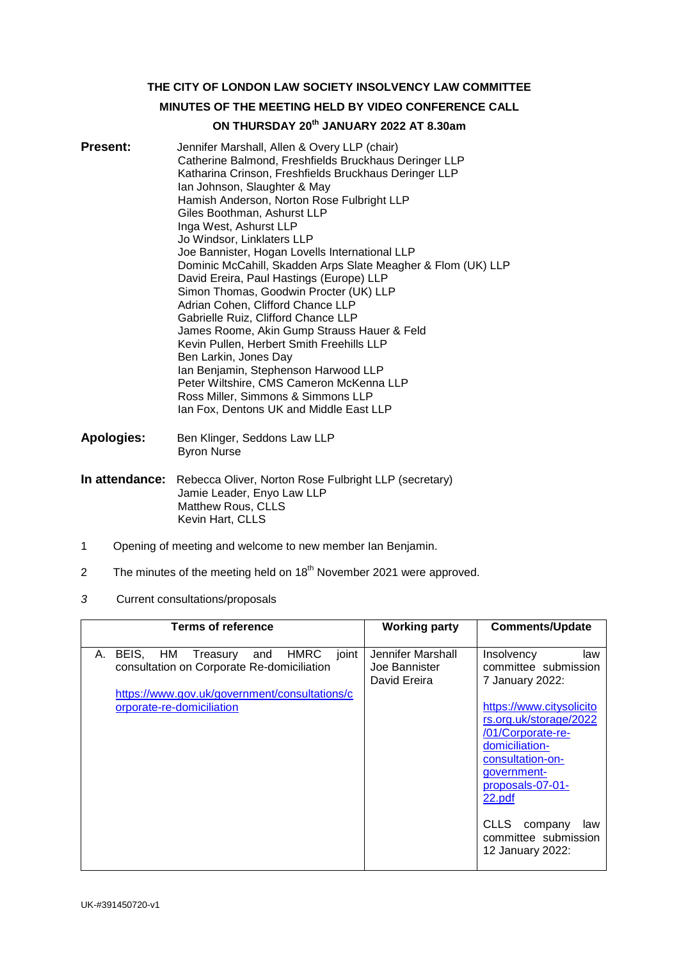**THE CITY OF LONDON LAW SOCIETY INSOLVENCY LAW COMMITTEE**

# **MINUTES OF THE MEETING HELD BY VIDEO CONFERENCE CALL**

# **ON THURSDAY 20th JANUARY 2022 AT 8.30am**

- **Present:** Jennifer Marshall, Allen & Overy LLP (chair) Catherine Balmond, Freshfields Bruckhaus Deringer LLP Katharina Crinson, Freshfields Bruckhaus Deringer LLP Ian Johnson, Slaughter & May Hamish Anderson, Norton Rose Fulbright LLP Giles Boothman, Ashurst LLP Inga West, Ashurst LLP Jo Windsor, Linklaters LLP Joe Bannister, Hogan Lovells International LLP Dominic McCahill, Skadden Arps Slate Meagher & Flom (UK) LLP David Ereira, Paul Hastings (Europe) LLP Simon Thomas, Goodwin Procter (UK) LLP Adrian Cohen, Clifford Chance LLP Gabrielle Ruiz, Clifford Chance LLP James Roome, Akin Gump Strauss Hauer & Feld Kevin Pullen, Herbert Smith Freehills LLP Ben Larkin, Jones Day Ian Benjamin, Stephenson Harwood LLP Peter Wiltshire, CMS Cameron McKenna LLP Ross Miller, Simmons & Simmons LLP Ian Fox, Dentons UK and Middle East LLP
- **Apologies:** Ben Klinger, Seddons Law LLP Byron Nurse
- **In attendance:** Rebecca Oliver, Norton Rose Fulbright LLP (secretary) Jamie Leader, Enyo Law LLP Matthew Rous, CLLS Kevin Hart, CLLS
- 1 Opening of meeting and welcome to new member Ian Benjamin.
- 2 The minutes of the meeting held on  $18<sup>th</sup>$  November 2021 were approved.
- *3* Current consultations/proposals

| <b>Terms of reference</b>                                                                                                                                                                 | <b>Working party</b>                               | <b>Comments/Update</b>                                                                                                                                                                                                                                                                     |
|-------------------------------------------------------------------------------------------------------------------------------------------------------------------------------------------|----------------------------------------------------|--------------------------------------------------------------------------------------------------------------------------------------------------------------------------------------------------------------------------------------------------------------------------------------------|
| <b>HMRC</b><br>BEIS.<br>HM.<br>joint<br>Treasury<br>А.<br>and<br>consultation on Corporate Re-domiciliation<br>https://www.gov.uk/government/consultations/c<br>orporate-re-domiciliation | Jennifer Marshall<br>Joe Bannister<br>David Ereira | <b>Insolvency</b><br>law<br>committee submission<br>7 January 2022:<br>https://www.citysolicito<br>rs.org.uk/storage/2022<br>/01/Corporate-re-<br>domiciliation-<br>consultation-on-<br>government-<br>proposals-07-01-<br>22.pdf<br><b>CLLS</b><br>company<br>law<br>committee submission |
|                                                                                                                                                                                           |                                                    | 12 January 2022:                                                                                                                                                                                                                                                                           |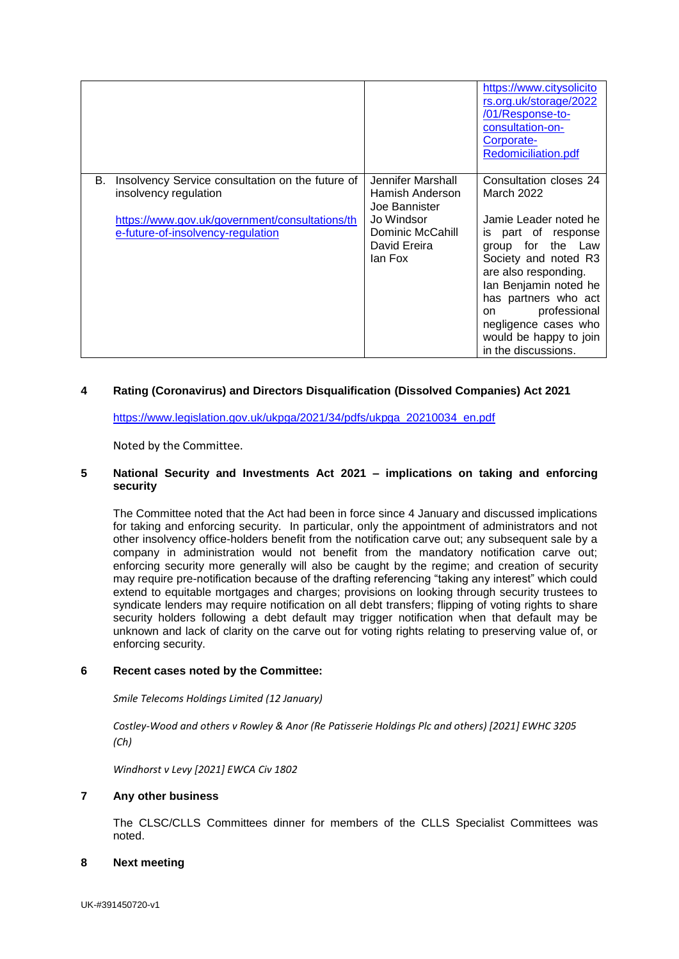|    |                                                                                                                                                                  |                                                                                                                    | https://www.citysolicito<br>rs.org.uk/storage/2022<br>/01/Response-to-<br>consultation-on-<br>Corporate-<br><b>Redomiciliation.pdf</b>                                                                                                                                                                    |
|----|------------------------------------------------------------------------------------------------------------------------------------------------------------------|--------------------------------------------------------------------------------------------------------------------|-----------------------------------------------------------------------------------------------------------------------------------------------------------------------------------------------------------------------------------------------------------------------------------------------------------|
| В. | Insolvency Service consultation on the future of<br>insolvency regulation<br>https://www.gov.uk/government/consultations/th<br>e-future-of-insolvency-regulation | Jennifer Marshall<br>Hamish Anderson<br>Joe Bannister<br>Jo Windsor<br>Dominic McCahill<br>David Ereira<br>lan Fox | Consultation closes 24<br>March 2022<br>Jamie Leader noted he<br>is part of response<br>group for the Law<br>Society and noted R3<br>are also responding.<br>Ian Benjamin noted he<br>has partners who act<br>professional<br>on<br>negligence cases who<br>would be happy to join<br>in the discussions. |

# **4 Rating (Coronavirus) and Directors Disqualification (Dissolved Companies) Act 2021**

[https://www.legislation.gov.uk/ukpga/2021/34/pdfs/ukpga\\_20210034\\_en.pdf](https://www.legislation.gov.uk/ukpga/2021/34/pdfs/ukpga_20210034_en.pdf)

Noted by the Committee.

# **5 National Security and Investments Act 2021 – implications on taking and enforcing security**

The Committee noted that the Act had been in force since 4 January and discussed implications for taking and enforcing security. In particular, only the appointment of administrators and not other insolvency office-holders benefit from the notification carve out; any subsequent sale by a company in administration would not benefit from the mandatory notification carve out; enforcing security more generally will also be caught by the regime; and creation of security may require pre-notification because of the drafting referencing "taking any interest" which could extend to equitable mortgages and charges; provisions on looking through security trustees to syndicate lenders may require notification on all debt transfers; flipping of voting rights to share security holders following a debt default may trigger notification when that default may be unknown and lack of clarity on the carve out for voting rights relating to preserving value of, or enforcing security.

### **6 Recent cases noted by the Committee:**

*Smile Telecoms Holdings Limited (12 January)*

*Costley-Wood and others v Rowley & Anor (Re Patisserie Holdings Plc and others) [2021] EWHC 3205 (Ch)*

*Windhorst v Levy [2021] EWCA Civ 1802*

### **7 Any other business**

The CLSC/CLLS Committees dinner for members of the CLLS Specialist Committees was noted.

### **8 Next meeting**